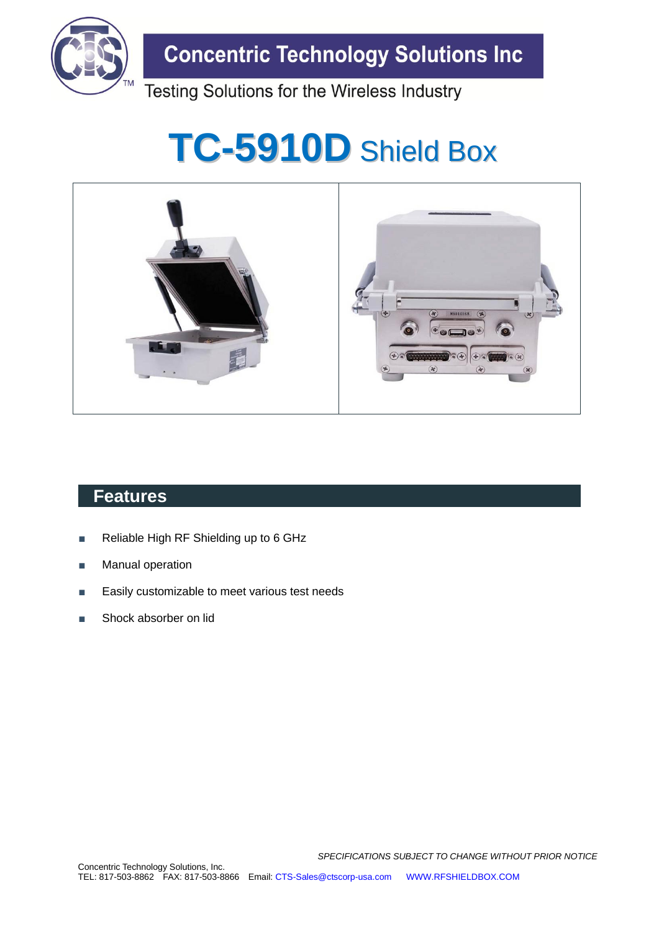

**Concentric Technology Solutions Inc** 

Testing Solutions for the Wireless Industry

# **TC-5910D** Shield Box



### **Features**

- Reliable High RF Shielding up to 6 GHz
- **Manual operation**
- Easily customizable to meet various test needs
- Shock absorber on lid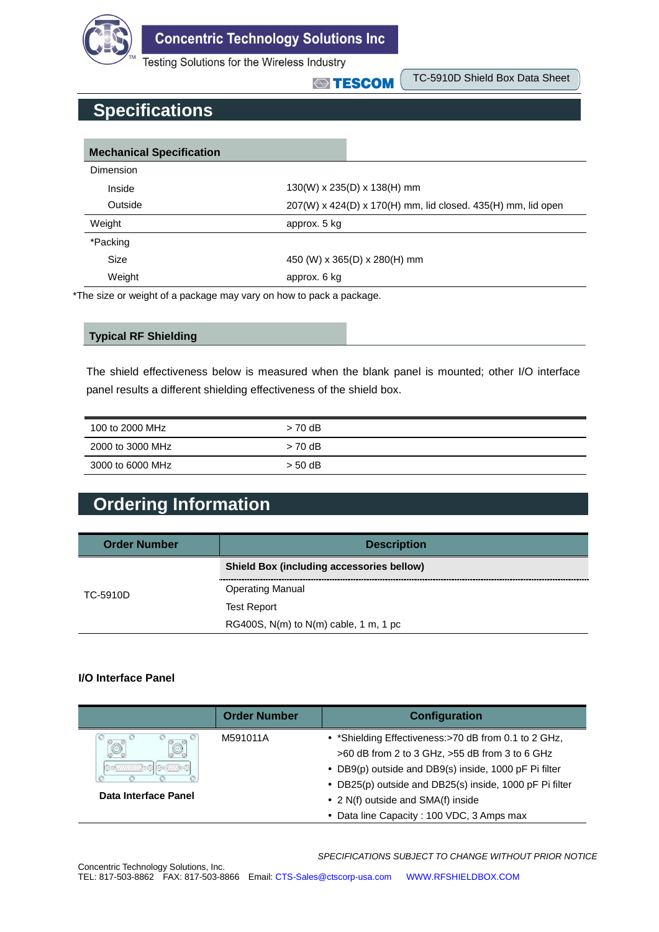

**Concentric Technology Solutions Inc** 

Testing Solutions for the Wireless Industry

**STESCOM** 

TC-5910D Shield Box Data Sheet

## **Specifications**

| <b>Mechanical Specification</b> |                                                              |  |  |
|---------------------------------|--------------------------------------------------------------|--|--|
| Dimension                       |                                                              |  |  |
| Inside                          | 130(W) x 235(D) x 138(H) mm                                  |  |  |
| Outside                         | 207(W) x 424(D) x 170(H) mm, lid closed. 435(H) mm, lid open |  |  |
| Weight                          | approx. 5 kg                                                 |  |  |
| *Packing                        |                                                              |  |  |
| Size                            | 450 (W) x 365(D) x 280(H) mm                                 |  |  |
| Weight                          | approx. 6 kg                                                 |  |  |

\*The size or weight of a package may vary on how to pack a package.

#### **Typical RF Shielding**

The shield effectiveness below is measured when the blank panel is mounted; other I/O interface panel results a different shielding effectiveness of the shield box.

| 100 to 2000 MHz  | $> 70$ dB |
|------------------|-----------|
| 2000 to 3000 MHz | $> 70$ dB |
| 3000 to 6000 MHz | $>$ 50 dB |

## **Ordering Information**

| <b>Order Number</b> | <b>Description</b>                               |
|---------------------|--------------------------------------------------|
|                     | <b>Shield Box (including accessories bellow)</b> |
| TC-5910D            | <b>Operating Manual</b>                          |
|                     | <b>Test Report</b>                               |
|                     | RG400S, $N(m)$ to $N(m)$ cable, 1 m, 1 pc        |

#### **I/O Interface Panel**

|                      | <b>Order Number</b> | Configuration                                                                                                                                                                                                              |
|----------------------|---------------------|----------------------------------------------------------------------------------------------------------------------------------------------------------------------------------------------------------------------------|
| $\circledcirc$       | M591011A            | • *Shielding Effectiveness:>70 dB from 0.1 to 2 GHz,<br>>60 dB from 2 to 3 GHz, >55 dB from 3 to 6 GHz<br>• DB9(p) outside and DB9(s) inside, 1000 pF Pi filter<br>• DB25(p) outside and DB25(s) inside, 1000 pF Pi filter |
| Data Interface Panel |                     | • 2 N(f) outside and SMA(f) inside                                                                                                                                                                                         |
|                      |                     | • Data line Capacity: 100 VDC, 3 Amps max                                                                                                                                                                                  |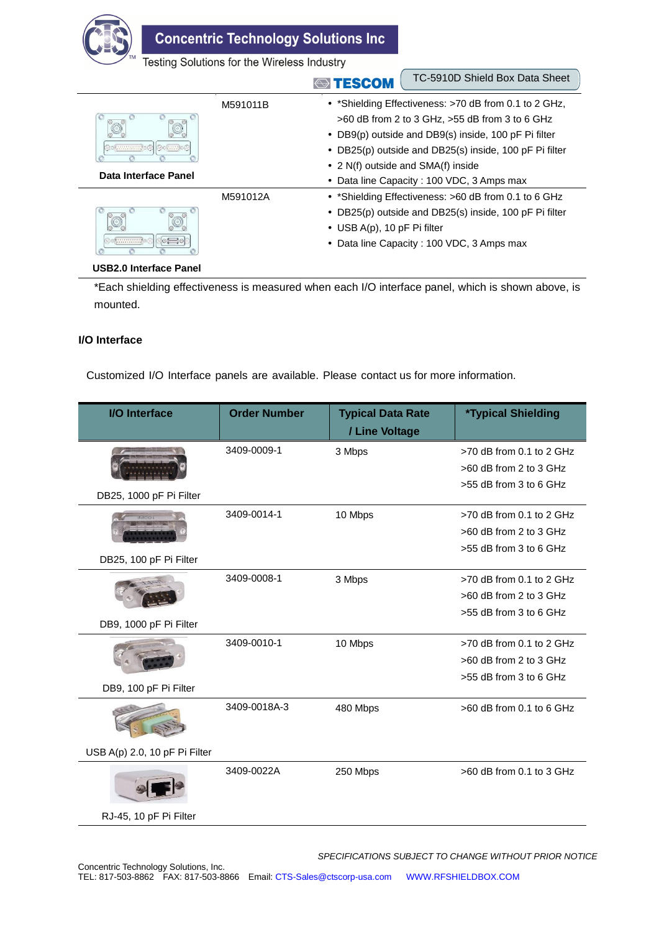

**Concentric Technology Solutions Inc.** 

Testing Solutions for the Wireless Industry

#### **ESCOM**

TC-5910D Shield Box Data Sheet

| Delmais C<br>.       | M591011B | • *Shielding Effectiveness: >70 dB from 0.1 to 2 GHz,<br>>60 dB from 2 to 3 GHz, >55 dB from 3 to 6 GHz<br>• DB9(p) outside and DB9(s) inside, 100 pF Pi filter<br>• DB25(p) outside and DB25(s) inside, 100 pF Pi filter<br>• 2 N(f) outside and SMA(f) inside |
|----------------------|----------|-----------------------------------------------------------------------------------------------------------------------------------------------------------------------------------------------------------------------------------------------------------------|
| Data Interface Panel |          | • Data line Capacity: 100 VDC, 3 Amps max                                                                                                                                                                                                                       |
|                      | M591012A | • *Shielding Effectiveness: >60 dB from 0.1 to 6 GHz                                                                                                                                                                                                            |
|                      |          | • DB25(p) outside and DB25(s) inside, 100 pF Pi filter                                                                                                                                                                                                          |
|                      |          | • USB $A(p)$ , 10 pF Pi filter                                                                                                                                                                                                                                  |
| ***********          |          | • Data line Capacity: 100 VDC, 3 Amps max                                                                                                                                                                                                                       |

#### **USB2.0 Interface Panel**

\*Each shielding effectiveness is measured when each I/O interface panel, which is shown above, is mounted.

#### **I/O Interface**

Customized I/O Interface panels are available. Please contact us for more information.

| <b>I/O</b> Interface          | <b>Order Number</b> | <b>Typical Data Rate</b> | <i><b>*Typical Shielding</b></i> |
|-------------------------------|---------------------|--------------------------|----------------------------------|
|                               |                     | / Line Voltage           |                                  |
|                               | 3409-0009-1         | 3 Mbps                   | $>70$ dB from 0.1 to 2 GHz       |
|                               |                     |                          | $>60$ dB from 2 to 3 GHz         |
| DB25, 1000 pF Pi Filter       |                     |                          | >55 dB from 3 to 6 GHz           |
|                               | 3409-0014-1         | 10 Mbps                  | >70 dB from 0.1 to 2 GHz         |
|                               |                     |                          | >60 dB from 2 to 3 GHz           |
|                               |                     |                          | >55 dB from 3 to 6 GHz           |
| DB25, 100 pF Pi Filter        |                     |                          |                                  |
|                               | 3409-0008-1         | 3 Mbps                   | >70 dB from 0.1 to 2 GHz         |
|                               |                     |                          | >60 dB from 2 to 3 GHz           |
| DB9, 1000 pF Pi Filter        |                     |                          | >55 dB from 3 to 6 GHz           |
|                               |                     |                          |                                  |
|                               | 3409-0010-1         | 10 Mbps                  | $>70$ dB from 0.1 to 2 GHz       |
|                               |                     |                          | >60 dB from 2 to 3 GHz           |
| DB9, 100 pF Pi Filter         |                     |                          | >55 dB from 3 to 6 GHz           |
|                               | 3409-0018A-3        | 480 Mbps                 | $>60$ dB from 0.1 to 6 GHz       |
|                               |                     |                          |                                  |
| USB A(p) 2.0, 10 pF Pi Filter |                     |                          |                                  |
|                               | 3409-0022A          | 250 Mbps                 | $>60$ dB from 0.1 to 3 GHz       |
| RJ-45, 10 pF Pi Filter        |                     |                          |                                  |